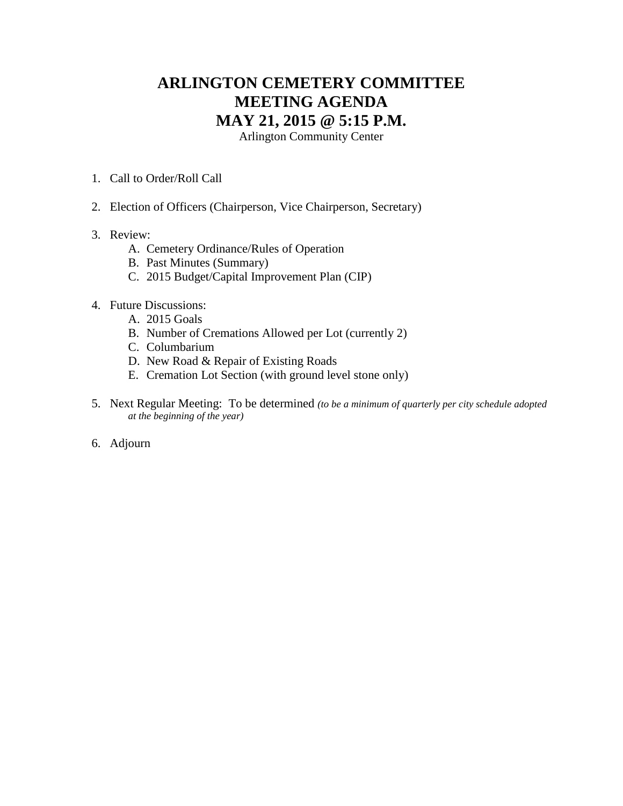## **ARLINGTON CEMETERY COMMITTEE MEETING AGENDA MAY 21, 2015 @ 5:15 P.M.** Arlington Community Center

1. Call to Order/Roll Call

- 
- 2. Election of Officers (Chairperson, Vice Chairperson, Secretary)
- 3. Review:
	- A. Cemetery Ordinance/Rules of Operation
	- B. Past Minutes (Summary)
	- C. 2015 Budget/Capital Improvement Plan (CIP)
- 4. Future Discussions:
	- A. 2015 Goals
	- B. Number of Cremations Allowed per Lot (currently 2)
	- C. Columbarium
	- D. New Road & Repair of Existing Roads
	- E. Cremation Lot Section (with ground level stone only)
- 5. Next Regular Meeting: To be determined *(to be a minimum of quarterly per city schedule adopted at the beginning of the year)*
- 6. Adjourn